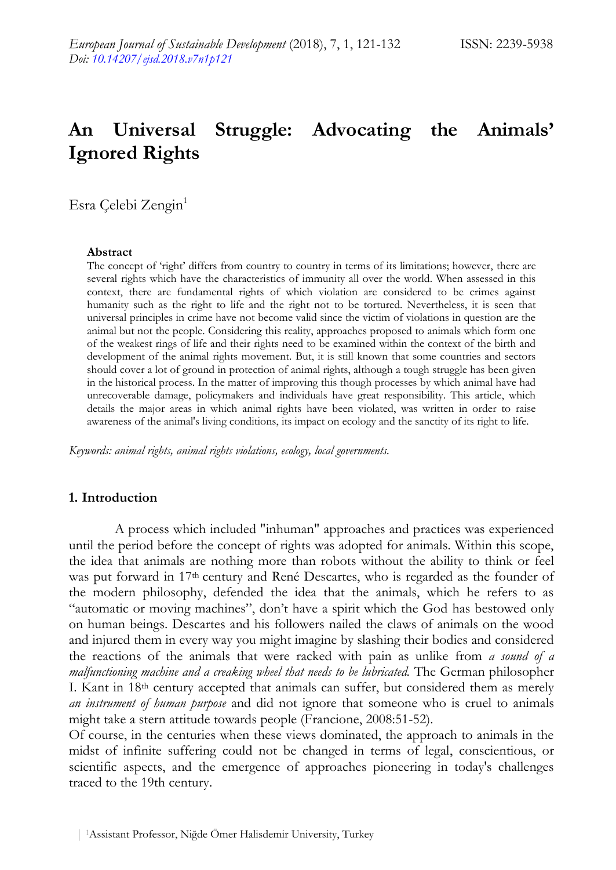# **An Universal Struggle: Advocating the Animals' Ignored Rights**

Esra Celebi Zengin<sup>1</sup>

#### **Abstract**

The concept of "right" differs from country to country in terms of its limitations; however, there are several rights which have the characteristics of immunity all over the world. When assessed in this context, there are fundamental rights of which violation are considered to be crimes against humanity such as the right to life and the right not to be tortured. Nevertheless, it is seen that universal principles in crime have not become valid since the victim of violations in question are the animal but not the people. Considering this reality, approaches proposed to animals which form one of the weakest rings of life and their rights need to be examined within the context of the birth and development of the animal rights movement. But, it is still known that some countries and sectors should cover a lot of ground in protection of animal rights, although a tough struggle has been given in the historical process. In the matter of improving this though processes by which animal have had unrecoverable damage, policymakers and individuals have great responsibility. This article, which details the major areas in which animal rights have been violated, was written in order to raise awareness of the animal's living conditions, its impact on ecology and the sanctity of its right to life.

*Keywords: animal rights, animal rights violations, ecology, local governments.*

## **1. Introduction**

A process which included "inhuman" approaches and practices was experienced until the period before the concept of rights was adopted for animals. Within this scope, the idea that animals are nothing more than robots without the ability to think or feel was put forward in 17<sup>th</sup> century and René Descartes, who is regarded as the founder of the modern philosophy, defended the idea that the animals, which he refers to as "automatic or moving machines", don"t have a spirit which the God has bestowed only on human beings. Descartes and his followers nailed the claws of animals on the wood and injured them in every way you might imagine by slashing their bodies and considered the reactions of the animals that were racked with pain as unlike from *a sound of a malfunctioning machine and a creaking wheel that needs to be lubricated.* The German philosopher I. Kant in 18th century accepted that animals can suffer, but considered them as merely *an instrument of human purpose* and did not ignore that someone who is cruel to animals might take a stern attitude towards people (Francione, 2008:51-52).

Of course, in the centuries when these views dominated, the approach to animals in the midst of infinite suffering could not be changed in terms of legal, conscientious, or scientific aspects, and the emergence of approaches pioneering in today's challenges traced to the 19th century.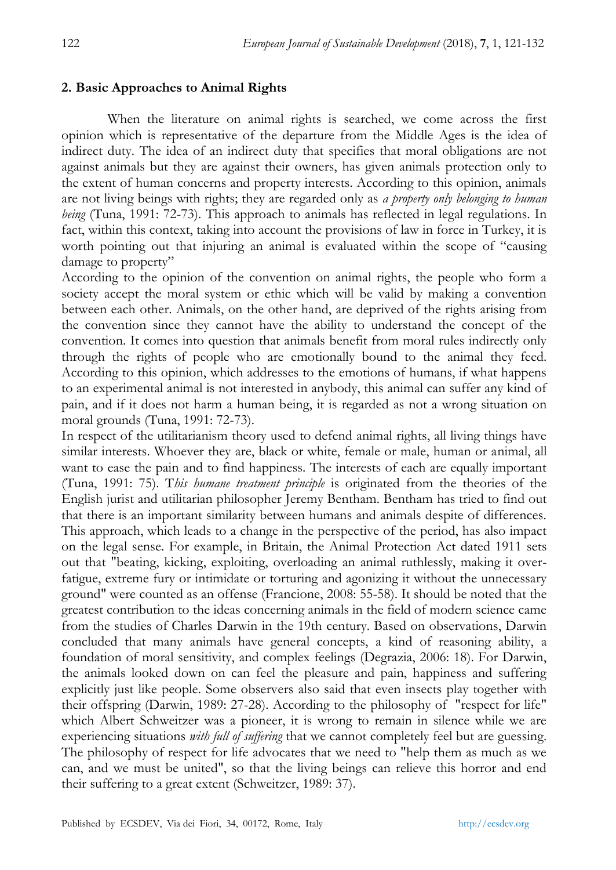#### **2. Basic Approaches to Animal Rights**

When the literature on animal rights is searched, we come across the first opinion which is representative of the departure from the Middle Ages is the idea of indirect duty. The idea of an indirect duty that specifies that moral obligations are not against animals but they are against their owners, has given animals protection only to the extent of human concerns and property interests. According to this opinion, animals are not living beings with rights; they are regarded only as *a property only belonging to human being* (Tuna, 1991: 72-73). This approach to animals has reflected in legal regulations. In fact, within this context, taking into account the provisions of law in force in Turkey, it is worth pointing out that injuring an animal is evaluated within the scope of "causing damage to property"

According to the opinion of the convention on animal rights, the people who form a society accept the moral system or ethic which will be valid by making a convention between each other. Animals, on the other hand, are deprived of the rights arising from the convention since they cannot have the ability to understand the concept of the convention. It comes into question that animals benefit from moral rules indirectly only through the rights of people who are emotionally bound to the animal they feed. According to this opinion, which addresses to the emotions of humans, if what happens to an experimental animal is not interested in anybody, this animal can suffer any kind of pain, and if it does not harm a human being, it is regarded as not a wrong situation on moral grounds (Tuna, 1991: 72-73).

In respect of the utilitarianism theory used to defend animal rights, all living things have similar interests. Whoever they are, black or white, female or male, human or animal, all want to ease the pain and to find happiness. The interests of each are equally important (Tuna, 1991: 75). T*his humane treatment principle* is originated from the theories of the English jurist and utilitarian philosopher Jeremy Bentham. Bentham has tried to find out that there is an important similarity between humans and animals despite of differences. This approach, which leads to a change in the perspective of the period, has also impact on the legal sense. For example, in Britain, the Animal Protection Act dated 1911 sets out that "beating, kicking, exploiting, overloading an animal ruthlessly, making it overfatigue, extreme fury or intimidate or torturing and agonizing it without the unnecessary ground" were counted as an offense (Francione, 2008: 55-58). It should be noted that the greatest contribution to the ideas concerning animals in the field of modern science came from the studies of Charles Darwin in the 19th century. Based on observations, Darwin concluded that many animals have general concepts, a kind of reasoning ability, a foundation of moral sensitivity, and complex feelings (Degrazia, 2006: 18). For Darwin, the animals looked down on can feel the pleasure and pain, happiness and suffering explicitly just like people. Some observers also said that even insects play together with their offspring (Darwin, 1989: 27-28). According to the philosophy of "respect for life" which Albert Schweitzer was a pioneer, it is wrong to remain in silence while we are experiencing situations *with full of suffering* that we cannot completely feel but are guessing. The philosophy of respect for life advocates that we need to "help them as much as we can, and we must be united", so that the living beings can relieve this horror and end their suffering to a great extent (Schweitzer, 1989: 37).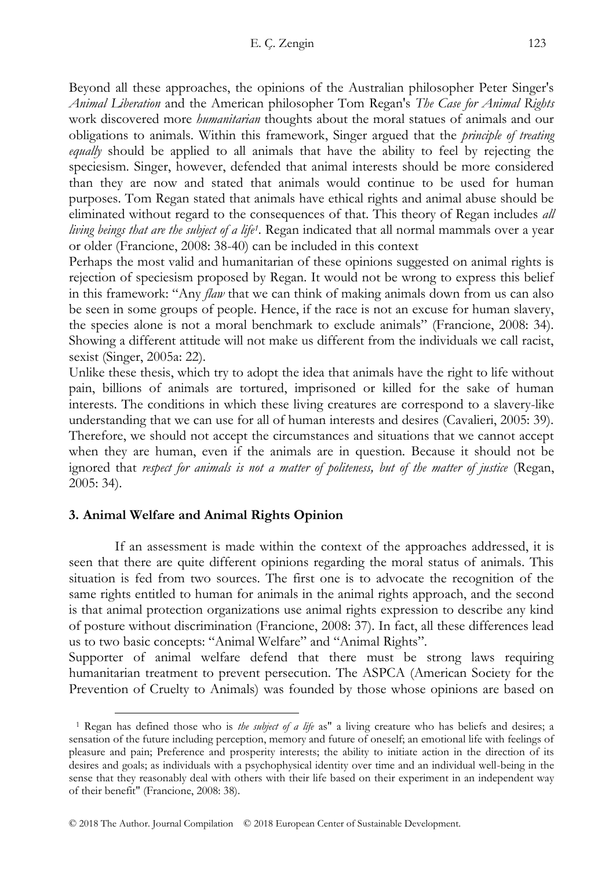Beyond all these approaches, the opinions of the Australian philosopher Peter Singer's *Animal Liberation* and the American philosopher Tom Regan's *The Case for Animal Rights* work discovered more *humanitarian* thoughts about the moral statues of animals and our obligations to animals. Within this framework, Singer argued that the *principle of treating equally* should be applied to all animals that have the ability to feel by rejecting the speciesism. Singer, however, defended that animal interests should be more considered than they are now and stated that animals would continue to be used for human purposes. Tom Regan stated that animals have ethical rights and animal abuse should be eliminated without regard to the consequences of that. This theory of Regan includes *all*  living beings that are the subject of a life<sup>1</sup>. Regan indicated that all normal mammals over a year or older (Francione, 2008: 38-40) can be included in this context

Perhaps the most valid and humanitarian of these opinions suggested on animal rights is rejection of speciesism proposed by Regan. It would not be wrong to express this belief in this framework: "Any *flaw* that we can think of making animals down from us can also be seen in some groups of people. Hence, if the race is not an excuse for human slavery, the species alone is not a moral benchmark to exclude animals" (Francione, 2008: 34). Showing a different attitude will not make us different from the individuals we call racist, sexist (Singer, 2005a: 22).

Unlike these thesis, which try to adopt the idea that animals have the right to life without pain, billions of animals are tortured, imprisoned or killed for the sake of human interests. The conditions in which these living creatures are correspond to a slavery-like understanding that we can use for all of human interests and desires (Cavalieri, 2005: 39). Therefore, we should not accept the circumstances and situations that we cannot accept when they are human, even if the animals are in question. Because it should not be ignored that *respect for animals is not a matter of politeness, but of the matter of justice* (Regan, 2005: 34).

# **3. Animal Welfare and Animal Rights Opinion**

-

If an assessment is made within the context of the approaches addressed, it is seen that there are quite different opinions regarding the moral status of animals. This situation is fed from two sources. The first one is to advocate the recognition of the same rights entitled to human for animals in the animal rights approach, and the second is that animal protection organizations use animal rights expression to describe any kind of posture without discrimination (Francione, 2008: 37). In fact, all these differences lead us to two basic concepts: "Animal Welfare" and "Animal Rights".

Supporter of animal welfare defend that there must be strong laws requiring humanitarian treatment to prevent persecution. The ASPCA (American Society for the Prevention of Cruelty to Animals) was founded by those whose opinions are based on

<sup>1</sup> Regan has defined those who is *the subject of a life* as" a living creature who has beliefs and desires; a sensation of the future including perception, memory and future of oneself; an emotional life with feelings of pleasure and pain; Preference and prosperity interests; the ability to initiate action in the direction of its desires and goals; as individuals with a psychophysical identity over time and an individual well-being in the sense that they reasonably deal with others with their life based on their experiment in an independent way of their benefit" (Francione, 2008: 38).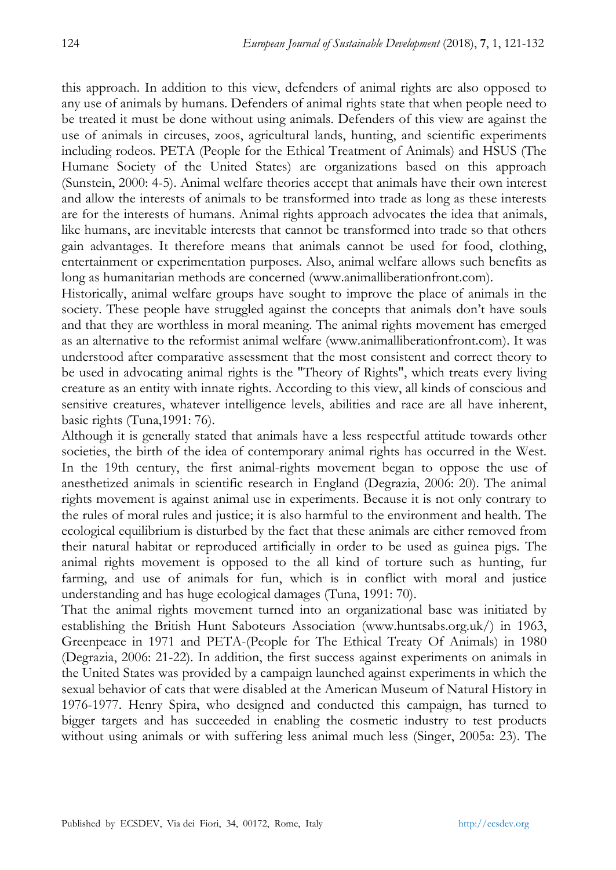this approach. In addition to this view, defenders of animal rights are also opposed to any use of animals by humans. Defenders of animal rights state that when people need to be treated it must be done without using animals. Defenders of this view are against the use of animals in circuses, zoos, agricultural lands, hunting, and scientific experiments including rodeos. PETA (People for the Ethical Treatment of Animals) and HSUS (The Humane Society of the United States) are organizations based on this approach (Sunstein, 2000: 4-5). Animal welfare theories accept that animals have their own interest and allow the interests of animals to be transformed into trade as long as these interests are for the interests of humans. Animal rights approach advocates the idea that animals, like humans, are inevitable interests that cannot be transformed into trade so that others gain advantages. It therefore means that animals cannot be used for food, clothing, entertainment or experimentation purposes. Also, animal welfare allows such benefits as long as humanitarian methods are concerned (www.animalliberationfront.com).

Historically, animal welfare groups have sought to improve the place of animals in the society. These people have struggled against the concepts that animals don't have souls and that they are worthless in moral meaning. The animal rights movement has emerged as an alternative to the reformist animal welfare (www.animalliberationfront.com). It was understood after comparative assessment that the most consistent and correct theory to be used in advocating animal rights is the "Theory of Rights", which treats every living creature as an entity with innate rights. According to this view, all kinds of conscious and sensitive creatures, whatever intelligence levels, abilities and race are all have inherent, basic rights (Tuna,1991: 76).

Although it is generally stated that animals have a less respectful attitude towards other societies, the birth of the idea of contemporary animal rights has occurred in the West. In the 19th century, the first animal-rights movement began to oppose the use of anesthetized animals in scientific research in England (Degrazia, 2006: 20). The animal rights movement is against animal use in experiments. Because it is not only contrary to the rules of moral rules and justice; it is also harmful to the environment and health. The ecological equilibrium is disturbed by the fact that these animals are either removed from their natural habitat or reproduced artificially in order to be used as guinea pigs. The animal rights movement is opposed to the all kind of torture such as hunting, fur farming, and use of animals for fun, which is in conflict with moral and justice understanding and has huge ecological damages (Tuna, 1991: 70).

That the animal rights movement turned into an organizational base was initiated by establishing the British Hunt Saboteurs Association (www.huntsabs.org.uk/) in 1963, Greenpeace in 1971 and PETA-(People for The Ethical Treaty Of Animals) in 1980 (Degrazia, 2006: 21-22). In addition, the first success against experiments on animals in the United States was provided by a campaign launched against experiments in which the sexual behavior of cats that were disabled at the American Museum of Natural History in 1976-1977. Henry Spira, who designed and conducted this campaign, has turned to bigger targets and has succeeded in enabling the cosmetic industry to test products without using animals or with suffering less animal much less (Singer, 2005a: 23). The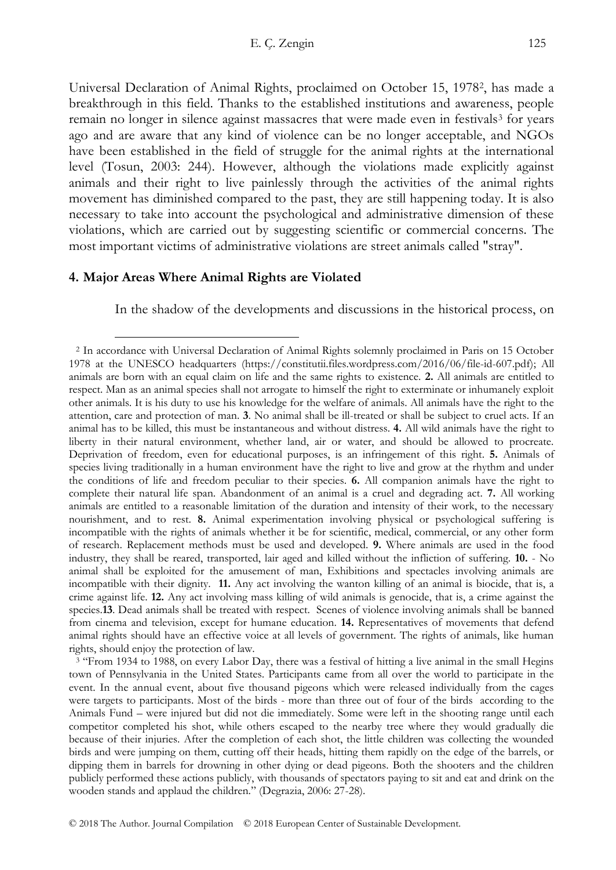Universal Declaration of Animal Rights, proclaimed on October 15, 1978<sup>2</sup> , has made a breakthrough in this field. Thanks to the established institutions and awareness, people remain no longer in silence against massacres that were made even in festivals<sup>3</sup> for years ago and are aware that any kind of violence can be no longer acceptable, and NGOs have been established in the field of struggle for the animal rights at the international level (Tosun, 2003: 244). However, although the violations made explicitly against animals and their right to live painlessly through the activities of the animal rights movement has diminished compared to the past, they are still happening today. It is also necessary to take into account the psychological and administrative dimension of these violations, which are carried out by suggesting scientific or commercial concerns. The most important victims of administrative violations are street animals called "stray".

## **4. Major Areas Where Animal Rights are Violated**

-

In the shadow of the developments and discussions in the historical process, on

<sup>3</sup> "From 1934 to 1988, on every Labor Day, there was a festival of hitting a live animal in the small Hegins town of Pennsylvania in the United States. Participants came from all over the world to participate in the event. In the annual event, about five thousand pigeons which were released individually from the cages were targets to participants. Most of the birds - more than three out of four of the birds according to the Animals Fund – were injured but did not die immediately. Some were left in the shooting range until each competitor completed his shot, while others escaped to the nearby tree where they would gradually die because of their injuries. After the completion of each shot, the little children was collecting the wounded birds and were jumping on them, cutting off their heads, hitting them rapidly on the edge of the barrels, or dipping them in barrels for drowning in other dying or dead pigeons. Both the shooters and the children publicly performed these actions publicly, with thousands of spectators paying to sit and eat and drink on the wooden stands and applaud the children." (Degrazia, 2006: 27-28).

<sup>2</sup> In accordance with Universal Declaration of Animal Rights solemnly proclaimed in Paris on 15 October 1978 at the UNESCO headquarters (https://constitutii.files.wordpress.com/2016/06/file-id-607.pdf); All animals are born with an equal claim on life and the same rights to existence. **2.** All animals are entitled to respect. Man as an animal species shall not arrogate to himself the right to exterminate or inhumanely exploit other animals. It is his duty to use his knowledge for the welfare of animals. All animals have the right to the attention, care and protection of man. **3**. No animal shall be ill-treated or shall be subject to cruel acts. If an animal has to be killed, this must be instantaneous and without distress. **4.** All wild animals have the right to liberty in their natural environment, whether land, air or water, and should be allowed to procreate. Deprivation of freedom, even for educational purposes, is an infringement of this right. **5.** Animals of species living traditionally in a human environment have the right to live and grow at the rhythm and under the conditions of life and freedom peculiar to their species. **6.** All companion animals have the right to complete their natural life span. Abandonment of an animal is a cruel and degrading act. **7.** All working animals are entitled to a reasonable limitation of the duration and intensity of their work, to the necessary nourishment, and to rest. **8.** Animal experimentation involving physical or psychological suffering is incompatible with the rights of animals whether it be for scientific, medical, commercial, or any other form of research. Replacement methods must be used and developed. **9.** Where animals are used in the food industry, they shall be reared, transported, lair aged and killed without the infliction of suffering. **10.** - No animal shall be exploited for the amusement of man, Exhibitions and spectacles involving animals are incompatible with their dignity. **11.** Any act involving the wanton killing of an animal is biocide, that is, a crime against life. **12.** Any act involving mass killing of wild animals is genocide, that is, a crime against the species.**13**. Dead animals shall be treated with respect. Scenes of violence involving animals shall be banned from cinema and television, except for humane education. **14.** Representatives of movements that defend animal rights should have an effective voice at all levels of government. The rights of animals, like human rights, should enjoy the protection of law.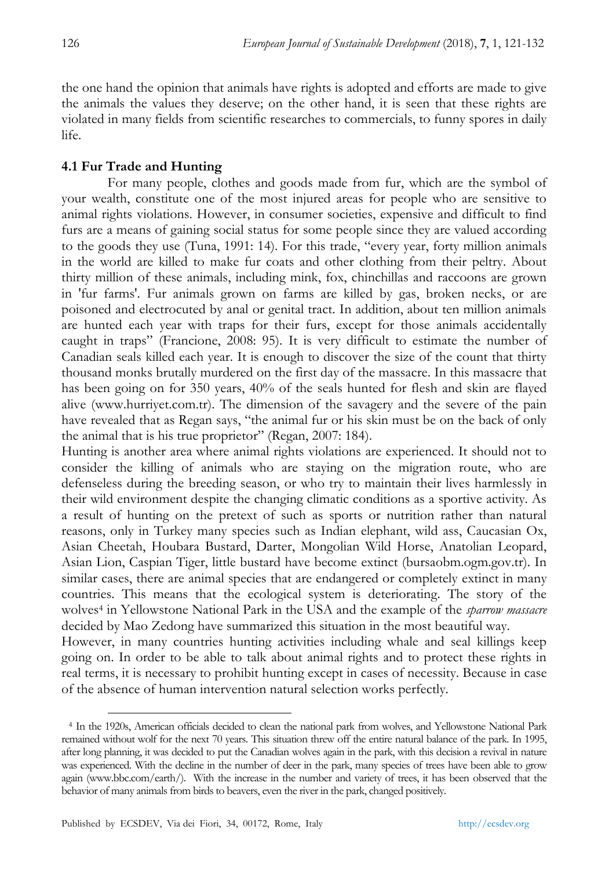the one hand the opinion that animals have rights is adopted and efforts are made to give the animals the values they deserve; on the other hand, it is seen that these rights are violated in many fields from scientific researches to commercials, to funny spores in daily life.

## **4.1 Fur Trade and Hunting**

For many people, clothes and goods made from fur, which are the symbol of your wealth, constitute one of the most injured areas for people who are sensitive to animal rights violations. However, in consumer societies, expensive and difficult to find furs are a means of gaining social status for some people since they are valued according to the goods they use (Tuna, 1991: 14). For this trade, "every year, forty million animals in the world are killed to make fur coats and other clothing from their peltry. About thirty million of these animals, including mink, fox, chinchillas and raccoons are grown in 'fur farms'. Fur animals grown on farms are killed by gas, broken necks, or are poisoned and electrocuted by anal or genital tract. In addition, about ten million animals are hunted each year with traps for their furs, except for those animals accidentally caught in traps" (Francione, 2008: 95). It is very difficult to estimate the number of Canadian seals killed each year. It is enough to discover the size of the count that thirty thousand monks brutally murdered on the first day of the massacre. In this massacre that has been going on for 350 years, 40% of the seals hunted for flesh and skin are flayed alive (www.hurriyet.com.tr). The dimension of the savagery and the severe of the pain have revealed that as Regan says, "the animal fur or his skin must be on the back of only the animal that is his true proprietor" (Regan, 2007: 184).

Hunting is another area where animal rights violations are experienced. It should not to consider the killing of animals who are staying on the migration route, who are defenseless during the breeding season, or who try to maintain their lives harmlessly in their wild environment despite the changing climatic conditions as a sportive activity. As a result of hunting on the pretext of such as sports or nutrition rather than natural reasons, only in Turkey many species such as Indian elephant, wild ass, Caucasian Ox, Asian Cheetah, Houbara Bustard, Darter, Mongolian Wild Horse, Anatolian Leopard, Asian Lion, Caspian Tiger, little bustard have become extinct (bursaobm.ogm.gov.tr). In similar cases, there are animal species that are endangered or completely extinct in many countries. This means that the ecological system is deteriorating. The story of the wolves<sup>4</sup> in Yellowstone National Park in the USA and the example of the *sparrow massacre* decided by Mao Zedong have summarized this situation in the most beautiful way.

However, in many countries hunting activities including whale and seal killings keep going on. In order to be able to talk about animal rights and to protect these rights in real terms, it is necessary to prohibit hunting except in cases of necessity. Because in case of the absence of human intervention natural selection works perfectly.

 $\ddot{\phantom{a}}$ 

<sup>4</sup> In the 1920s, American officials decided to clean the national park from wolves, and Yellowstone National Park remained without wolf for the next 70 years. This situation threw off the entire natural balance of the park. In 1995, after long planning, it was decided to put the Canadian wolves again in the park, with this decision a revival in nature was experienced. With the decline in the number of deer in the park, many species of trees have been able to grow again (www.bbc.com/earth/). With the increase in the number and variety of trees, it has been observed that the behavior of many animals from birds to beavers, even the river in the park, changed positively.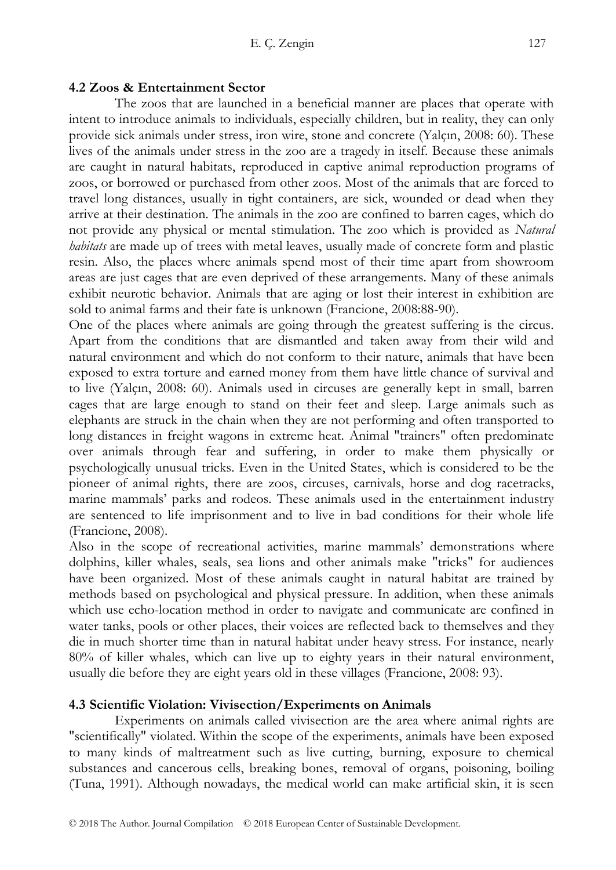## **4.2 Zoos & Entertainment Sector**

The zoos that are launched in a beneficial manner are places that operate with intent to introduce animals to individuals, especially children, but in reality, they can only provide sick animals under stress, iron wire, stone and concrete (Yalçın, 2008: 60). These lives of the animals under stress in the zoo are a tragedy in itself. Because these animals are caught in natural habitats, reproduced in captive animal reproduction programs of zoos, or borrowed or purchased from other zoos. Most of the animals that are forced to travel long distances, usually in tight containers, are sick, wounded or dead when they arrive at their destination. The animals in the zoo are confined to barren cages, which do not provide any physical or mental stimulation. The zoo which is provided as *Natural habitats* are made up of trees with metal leaves, usually made of concrete form and plastic resin. Also, the places where animals spend most of their time apart from showroom areas are just cages that are even deprived of these arrangements. Many of these animals exhibit neurotic behavior. Animals that are aging or lost their interest in exhibition are sold to animal farms and their fate is unknown (Francione, 2008:88-90).

One of the places where animals are going through the greatest suffering is the circus. Apart from the conditions that are dismantled and taken away from their wild and natural environment and which do not conform to their nature, animals that have been exposed to extra torture and earned money from them have little chance of survival and to live (Yalçın, 2008: 60). Animals used in circuses are generally kept in small, barren cages that are large enough to stand on their feet and sleep. Large animals such as elephants are struck in the chain when they are not performing and often transported to long distances in freight wagons in extreme heat. Animal "trainers" often predominate over animals through fear and suffering, in order to make them physically or psychologically unusual tricks. Even in the United States, which is considered to be the pioneer of animal rights, there are zoos, circuses, carnivals, horse and dog racetracks, marine mammals" parks and rodeos. These animals used in the entertainment industry are sentenced to life imprisonment and to live in bad conditions for their whole life (Francione, 2008).

Also in the scope of recreational activities, marine mammals" demonstrations where dolphins, killer whales, seals, sea lions and other animals make "tricks" for audiences have been organized. Most of these animals caught in natural habitat are trained by methods based on psychological and physical pressure. In addition, when these animals which use echo-location method in order to navigate and communicate are confined in water tanks, pools or other places, their voices are reflected back to themselves and they die in much shorter time than in natural habitat under heavy stress. For instance, nearly 80% of killer whales, which can live up to eighty years in their natural environment, usually die before they are eight years old in these villages (Francione, 2008: 93).

# **4.3 Scientific Violation: Vivisection/Experiments on Animals**

Experiments on animals called vivisection are the area where animal rights are "scientifically" violated. Within the scope of the experiments, animals have been exposed to many kinds of maltreatment such as live cutting, burning, exposure to chemical substances and cancerous cells, breaking bones, removal of organs, poisoning, boiling (Tuna, 1991). Although nowadays, the medical world can make artificial skin, it is seen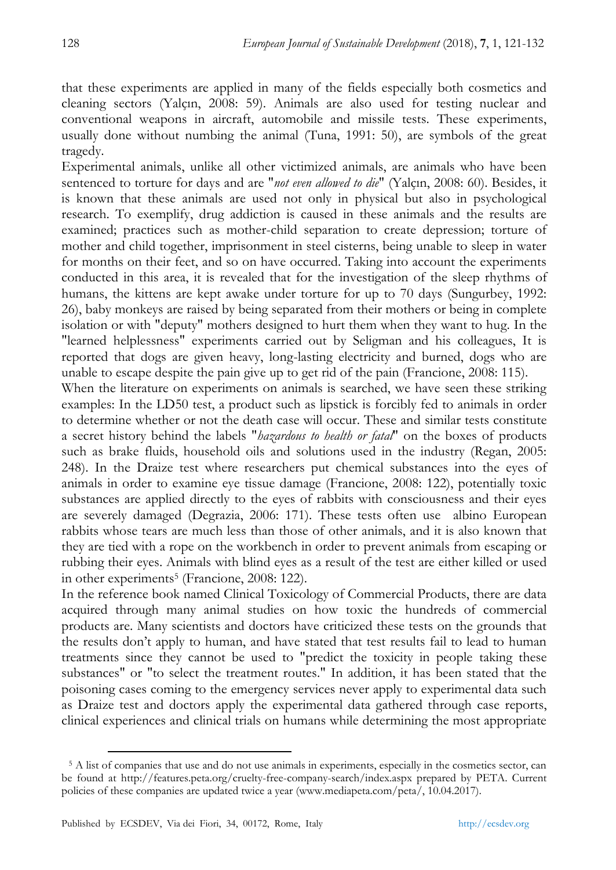that these experiments are applied in many of the fields especially both cosmetics and cleaning sectors (Yalçın, 2008: 59). Animals are also used for testing nuclear and conventional weapons in aircraft, automobile and missile tests. These experiments, usually done without numbing the animal (Tuna, 1991: 50), are symbols of the great tragedy.

Experimental animals, unlike all other victimized animals, are animals who have been sentenced to torture for days and are "*not even allowed to die*" (Yalçın, 2008: 60). Besides, it is known that these animals are used not only in physical but also in psychological research. To exemplify, drug addiction is caused in these animals and the results are examined; practices such as mother-child separation to create depression; torture of mother and child together, imprisonment in steel cisterns, being unable to sleep in water for months on their feet, and so on have occurred. Taking into account the experiments conducted in this area, it is revealed that for the investigation of the sleep rhythms of humans, the kittens are kept awake under torture for up to 70 days (Sungurbey, 1992: 26), baby monkeys are raised by being separated from their mothers or being in complete isolation or with "deputy" mothers designed to hurt them when they want to hug. In the "learned helplessness" experiments carried out by Seligman and his colleagues, It is reported that dogs are given heavy, long-lasting electricity and burned, dogs who are unable to escape despite the pain give up to get rid of the pain (Francione, 2008: 115).

When the literature on experiments on animals is searched, we have seen these striking examples: In the LD50 test, a product such as lipstick is forcibly fed to animals in order to determine whether or not the death case will occur. These and similar tests constitute a secret history behind the labels "*hazardous to health or fatal*" on the boxes of products such as brake fluids, household oils and solutions used in the industry (Regan, 2005: 248). In the Draize test where researchers put chemical substances into the eyes of animals in order to examine eye tissue damage (Francione, 2008: 122), potentially toxic substances are applied directly to the eyes of rabbits with consciousness and their eyes are severely damaged (Degrazia, 2006: 171). These tests often use albino European rabbits whose tears are much less than those of other animals, and it is also known that they are tied with a rope on the workbench in order to prevent animals from escaping or rubbing their eyes. Animals with blind eyes as a result of the test are either killed or used in other experiments<sup>5</sup> (Francione, 2008: 122).

In the reference book named Clinical Toxicology of Commercial Products, there are data acquired through many animal studies on how toxic the hundreds of commercial products are. Many scientists and doctors have criticized these tests on the grounds that the results don"t apply to human, and have stated that test results fail to lead to human treatments since they cannot be used to "predict the toxicity in people taking these substances" or "to select the treatment routes." In addition, it has been stated that the poisoning cases coming to the emergency services never apply to experimental data such as Draize test and doctors apply the experimental data gathered through case reports, clinical experiences and clinical trials on humans while determining the most appropriate

 $\ddot{\phantom{a}}$ 

<sup>5</sup> A list of companies that use and do not use animals in experiments, especially in the cosmetics sector, can be found at http://features.peta.org/cruelty-free-company-search/index.aspx prepared by PETA. Current policies of these companies are updated twice a year (www.mediapeta.com/peta/, 10.04.2017).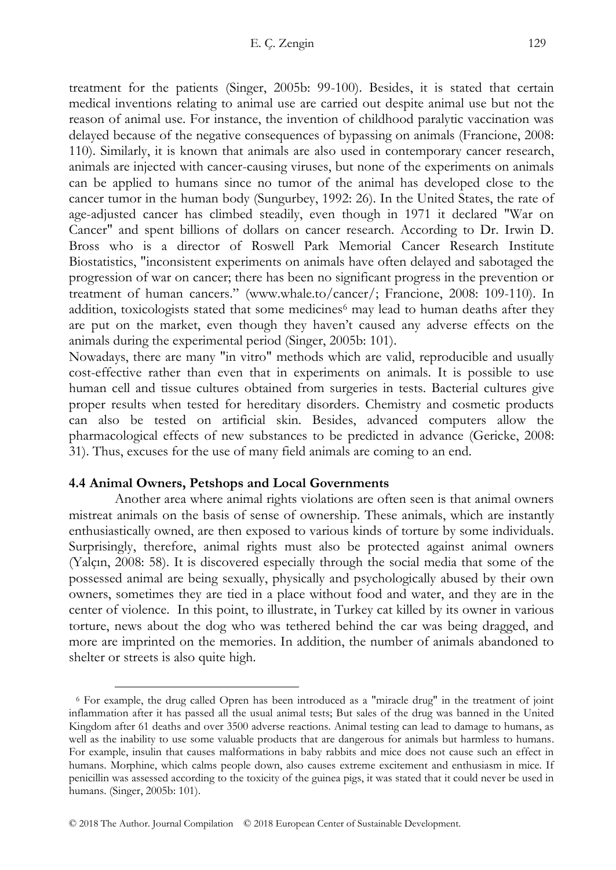treatment for the patients (Singer, 2005b: 99-100). Besides, it is stated that certain medical inventions relating to animal use are carried out despite animal use but not the reason of animal use. For instance, the invention of childhood paralytic vaccination was delayed because of the negative consequences of bypassing on animals (Francione, 2008: 110). Similarly, it is known that animals are also used in contemporary cancer research, animals are injected with cancer-causing viruses, but none of the experiments on animals can be applied to humans since no tumor of the animal has developed close to the cancer tumor in the human body (Sungurbey, 1992: 26). In the United States, the rate of age-adjusted cancer has climbed steadily, even though in 1971 it declared "War on Cancer" and spent billions of dollars on cancer research. According to Dr. Irwin D. Bross who is a director of Roswell Park Memorial Cancer Research Institute Biostatistics, "inconsistent experiments on animals have often delayed and sabotaged the progression of war on cancer; there has been no significant progress in the prevention or treatment of human cancers." (www.whale.to/cancer/; Francione, 2008: 109-110). In addition, toxicologists stated that some medicines<sup>6</sup> may lead to human deaths after they are put on the market, even though they haven"t caused any adverse effects on the animals during the experimental period (Singer, 2005b: 101).

Nowadays, there are many "in vitro" methods which are valid, reproducible and usually cost-effective rather than even that in experiments on animals. It is possible to use human cell and tissue cultures obtained from surgeries in tests. Bacterial cultures give proper results when tested for hereditary disorders. Chemistry and cosmetic products can also be tested on artificial skin. Besides, advanced computers allow the pharmacological effects of new substances to be predicted in advance (Gericke, 2008: 31). Thus, excuses for the use of many field animals are coming to an end.

#### **4.4 Animal Owners, Petshops and Local Governments**

-

Another area where animal rights violations are often seen is that animal owners mistreat animals on the basis of sense of ownership. These animals, which are instantly enthusiastically owned, are then exposed to various kinds of torture by some individuals. Surprisingly, therefore, animal rights must also be protected against animal owners (Yalçın, 2008: 58). It is discovered especially through the social media that some of the possessed animal are being sexually, physically and psychologically abused by their own owners, sometimes they are tied in a place without food and water, and they are in the center of violence. In this point, to illustrate, in Turkey cat killed by its owner in various torture, news about the dog who was tethered behind the car was being dragged, and more are imprinted on the memories. In addition, the number of animals abandoned to shelter or streets is also quite high.

<sup>6</sup> For example, the drug called Opren has been introduced as a "miracle drug" in the treatment of joint inflammation after it has passed all the usual animal tests; But sales of the drug was banned in the United Kingdom after 61 deaths and over 3500 adverse reactions. Animal testing can lead to damage to humans, as well as the inability to use some valuable products that are dangerous for animals but harmless to humans. For example, insulin that causes malformations in baby rabbits and mice does not cause such an effect in humans. Morphine, which calms people down, also causes extreme excitement and enthusiasm in mice. If penicillin was assessed according to the toxicity of the guinea pigs, it was stated that it could never be used in humans. (Singer, 2005b: 101).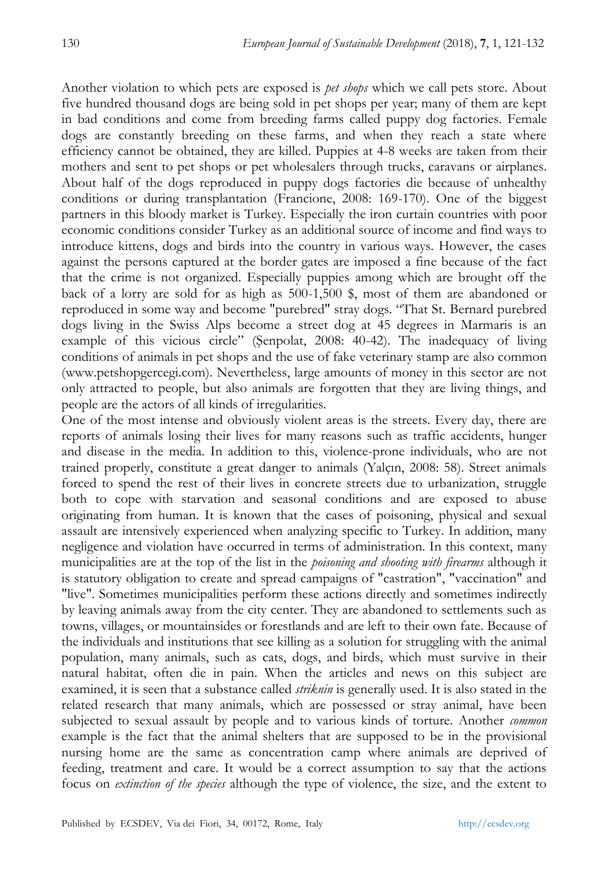Another violation to which pets are exposed is *pet shops* which we call pets store. About five hundred thousand dogs are being sold in pet shops per year; many of them are kept in bad conditions and come from breeding farms called puppy dog factories. Female dogs are constantly breeding on these farms, and when they reach a state where efficiency cannot be obtained, they are killed. Puppies at 4-8 weeks are taken from their mothers and sent to pet shops or pet wholesalers through trucks, caravans or airplanes. About half of the dogs reproduced in puppy dogs factories die because of unhealthy conditions or during transplantation (Francione, 2008: 169-170). One of the biggest partners in this bloody market is Turkey. Especially the iron curtain countries with poor economic conditions consider Turkey as an additional source of income and find ways to introduce kittens, dogs and birds into the country in various ways. However, the cases against the persons captured at the border gates are imposed a fine because of the fact that the crime is not organized. Especially puppies among which are brought off the back of a lorry are sold for as high as 500-1,500 \$, most of them are abandoned or reproduced in some way and become "purebred" stray dogs. "That St. Bernard purebred dogs living in the Swiss Alps become a street dog at 45 degrees in Marmaris is an example of this vicious circle" (Şenpolat, 2008: 40-42). The inadequacy of living conditions of animals in pet shops and the use of fake veterinary stamp are also common (www.petshopgercegi.com). Nevertheless, large amounts of money in this sector are not only attracted to people, but also animals are forgotten that they are living things, and people are the actors of all kinds of irregularities.

One of the most intense and obviously violent areas is the streets. Every day, there are reports of animals losing their lives for many reasons such as traffic accidents, hunger and disease in the media. In addition to this, violence-prone individuals, who are not trained properly, constitute a great danger to animals (Yalçın, 2008: 58). Street animals forced to spend the rest of their lives in concrete streets due to urbanization, struggle both to cope with starvation and seasonal conditions and are exposed to abuse originating from human. It is known that the cases of poisoning, physical and sexual assault are intensively experienced when analyzing specific to Turkey. In addition, many negligence and violation have occurred in terms of administration. In this context, many municipalities are at the top of the list in the *poisoning and shooting with firearms* although it is statutory obligation to create and spread campaigns of "castration", "vaccination" and "live". Sometimes municipalities perform these actions directly and sometimes indirectly by leaving animals away from the city center. They are abandoned to settlements such as towns, villages, or mountainsides or forestlands and are left to their own fate. Because of the individuals and institutions that see killing as a solution for struggling with the animal population, many animals, such as cats, dogs, and birds, which must survive in their natural habitat, often die in pain. When the articles and news on this subject are examined, it is seen that a substance called *striknin* is generally used. It is also stated in the related research that many animals, which are possessed or stray animal, have been subjected to sexual assault by people and to various kinds of torture. Another *common* example is the fact that the animal shelters that are supposed to be in the provisional nursing home are the same as concentration camp where animals are deprived of feeding, treatment and care. It would be a correct assumption to say that the actions focus on *extinction of the species* although the type of violence, the size, and the extent to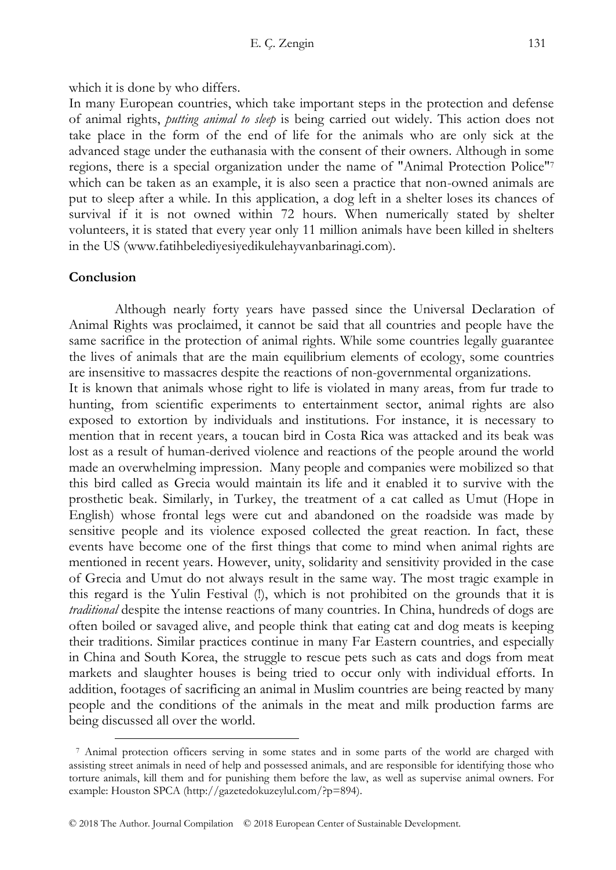In many European countries, which take important steps in the protection and defense of animal rights, *putting animal to sleep* is being carried out widely. This action does not take place in the form of the end of life for the animals who are only sick at the advanced stage under the euthanasia with the consent of their owners. Although in some regions, there is a special organization under the name of "Animal Protection Police"<sup>7</sup> which can be taken as an example, it is also seen a practice that non-owned animals are put to sleep after a while. In this application, a dog left in a shelter loses its chances of survival if it is not owned within 72 hours. When numerically stated by shelter volunteers, it is stated that every year only 11 million animals have been killed in shelters in the US (www.fatihbelediyesiyedikulehayvanbarinagi.com).

#### **Conclusion**

-

Although nearly forty years have passed since the Universal Declaration of Animal Rights was proclaimed, it cannot be said that all countries and people have the same sacrifice in the protection of animal rights. While some countries legally guarantee the lives of animals that are the main equilibrium elements of ecology, some countries are insensitive to massacres despite the reactions of non-governmental organizations.

It is known that animals whose right to life is violated in many areas, from fur trade to hunting, from scientific experiments to entertainment sector, animal rights are also exposed to extortion by individuals and institutions. For instance, it is necessary to mention that in recent years, a toucan bird in Costa Rica was attacked and its beak was lost as a result of human-derived violence and reactions of the people around the world made an overwhelming impression. Many people and companies were mobilized so that this bird called as Grecia would maintain its life and it enabled it to survive with the prosthetic beak. Similarly, in Turkey, the treatment of a cat called as Umut (Hope in English) whose frontal legs were cut and abandoned on the roadside was made by sensitive people and its violence exposed collected the great reaction. In fact, these events have become one of the first things that come to mind when animal rights are mentioned in recent years. However, unity, solidarity and sensitivity provided in the case of Grecia and Umut do not always result in the same way. The most tragic example in this regard is the Yulin Festival (!), which is not prohibited on the grounds that it is *traditional* despite the intense reactions of many countries. In China, hundreds of dogs are often boiled or savaged alive, and people think that eating cat and dog meats is keeping their traditions. Similar practices continue in many Far Eastern countries, and especially in China and South Korea, the struggle to rescue pets such as cats and dogs from meat markets and slaughter houses is being tried to occur only with individual efforts. In addition, footages of sacrificing an animal in Muslim countries are being reacted by many people and the conditions of the animals in the meat and milk production farms are being discussed all over the world.

<sup>7</sup> Animal protection officers serving in some states and in some parts of the world are charged with assisting street animals in need of help and possessed animals, and are responsible for identifying those who torture animals, kill them and for punishing them before the law, as well as supervise animal owners. For example: Houston SPCA (http://gazetedokuzeylul.com/?p=894).